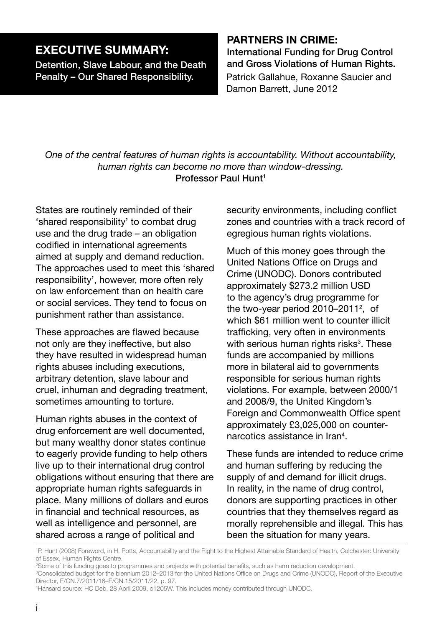## **Executive Summary:**

Detention, Slave Labour, and the Death Penalty – Our Shared Responsibility. Patrick Gallahue, Roxanne Saucier and

## **Partners in Crime:**

International Funding for Drug Control and Gross Violations of Human Rights. Damon Barrett, June 2012

*One of the central features of human rights is accountability. Without accountability, human rights can become no more than window-dressing.* Professor Paul Hunt1

States are routinely reminded of their 'shared responsibility' to combat drug use and the drug trade – an obligation codified in international agreements aimed at supply and demand reduction. The approaches used to meet this 'shared responsibility', however, more often rely on law enforcement than on health care or social services. They tend to focus on punishment rather than assistance.

These approaches are flawed because not only are they ineffective, but also they have resulted in widespread human rights abuses including executions, arbitrary detention, slave labour and cruel, inhuman and degrading treatment, sometimes amounting to torture.

Human rights abuses in the context of drug enforcement are well documented, but many wealthy donor states continue to eagerly provide funding to help others live up to their international drug control obligations without ensuring that there are appropriate human rights safeguards in place. Many millions of dollars and euros in financial and technical resources, as well as intelligence and personnel, are shared across a range of political and

security environments, including conflict zones and countries with a track record of egregious human rights violations.

Much of this money goes through the United Nations Office on Drugs and Crime (UNODC). Donors contributed approximately \$273.2 million USD to the agency's drug programme for the two-year period 2010-2011<sup>2</sup>, of which \$61 million went to counter illicit trafficking, very often in environments with serious human rights risks<sup>3</sup>. These funds are accompanied by millions more in bilateral aid to governments responsible for serious human rights violations. For example, between 2000/1 and 2008/9, the United Kingdom's Foreign and Commonwealth Office spent approximately £3,025,000 on counternarcotics assistance in Iran4 .

These funds are intended to reduce crime and human suffering by reducing the supply of and demand for illicit drugs. In reality, in the name of drug control, donors are supporting practices in other countries that they themselves regard as morally reprehensible and illegal. This has been the situation for many years.

1 P. Hunt (2008) Foreword, in H. Potts, Accountability and the Right to the Highest Attainable Standard of Health, Colchester: University of Essex, Human Rights Centre.

4 Hansard source: HC Deb, 28 April 2009, c1205W. This includes money contributed through UNODC.

<sup>2</sup> Some of this funding goes to programmes and projects with potential benefits, such as harm reduction development.

<sup>3</sup> Consolidated budget for the biennium 2012–2013 for the United Nations Office on Drugs and Crime (UNODC), Report of the Executive Director, E/CN.7/2011/16–E/CN.15/2011/22, p. 97.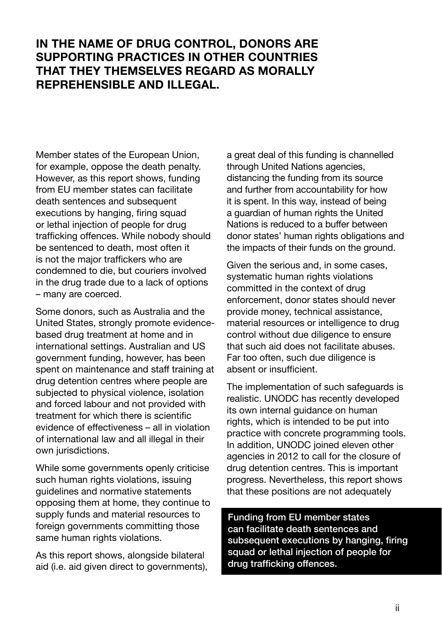## **In the name of drug control, donors are supporting practices in other countries that they themselves regard as morally reprehensible and illegal.**

Member states of the European Union, for example, oppose the death penalty. However, as this report shows, funding from EU member states can facilitate death sentences and subsequent executions by hanging, firing squad or lethal injection of people for drug trafficking offences. While nobody should be sentenced to death, most often it is not the major traffickers who are condemned to die, but couriers involved in the drug trade due to a lack of options – many are coerced.

Some donors, such as Australia and the United States, strongly promote evidencebased drug treatment at home and in international settings. Australian and US government funding, however, has been spent on maintenance and staff training at drug detention centres where people are subjected to physical violence, isolation and forced labour and not provided with treatment for which there is scientific evidence of effectiveness – all in violation of international law and all illegal in their own jurisdictions.

While some governments openly criticise such human rights violations, issuing guidelines and normative statements opposing them at home, they continue to supply funds and material resources to foreign governments committing those same human rights violations.

As this report shows, alongside bilateral aid (i.e. aid given direct to governments), a great deal of this funding is channelled through United Nations agencies, distancing the funding from its source and further from accountability for how it is spent. In this way, instead of being a guardian of human rights the United Nations is reduced to a buffer between donor states' human rights obligations and the impacts of their funds on the ground.

Given the serious and, in some cases, systematic human rights violations committed in the context of drug enforcement, donor states should never provide money, technical assistance, material resources or intelligence to drug control without due diligence to ensure that such aid does not facilitate abuses. Far too often, such due diligence is absent or insufficient.

The implementation of such safeguards is realistic. UNODC has recently developed its own internal guidance on human rights, which is intended to be put into practice with concrete programming tools. In addition, UNODC joined eleven other agencies in 2012 to call for the closure of drug detention centres. This is important progress. Nevertheless, this report shows that these positions are not adequately

Funding from EU member states can facilitate death sentences and subsequent executions by hanging, firing squad or lethal injection of people for drug trafficking offences.